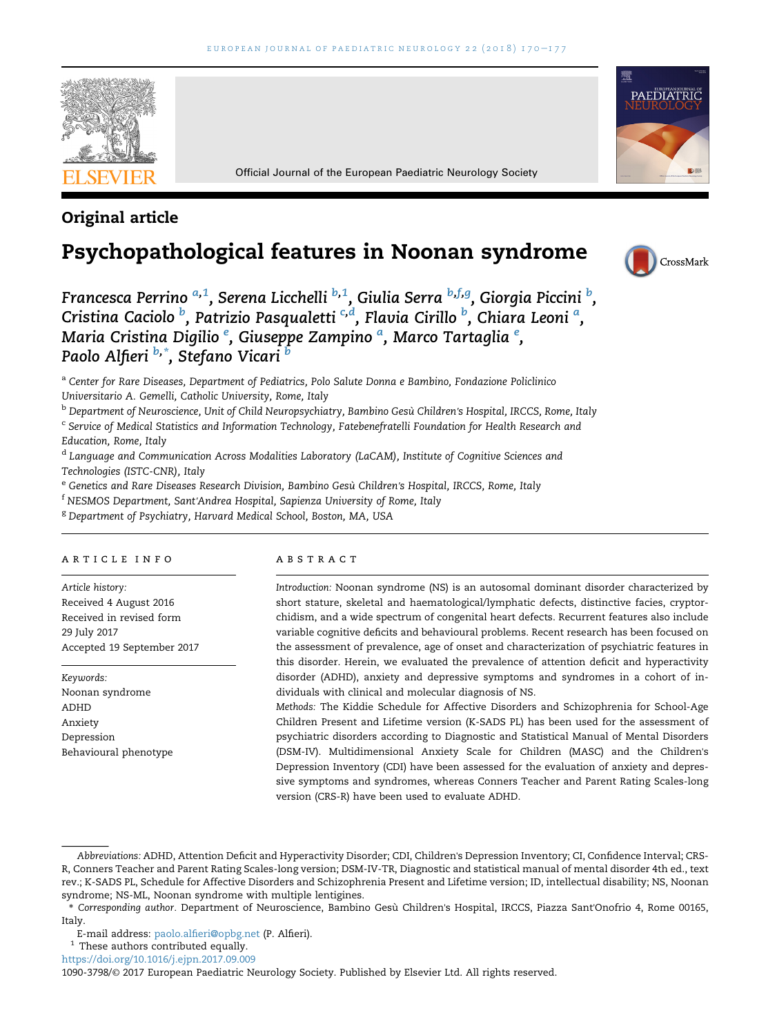

Official Journal of the European Paediatric Neurology Society

## Original article

# Psychopathological features in Noonan syndrome



CrossMark

PAEDIATRIC



<sup>a</sup> Center for Rare Diseases, Department of Pediatrics, Polo Salute Donna e Bambino, Fondazione Policlinico Universitario A. Gemelli, Catholic University, Rome, Italy

<sup>b</sup> Department of Neuroscience, Unit of Child Neuropsychiatry, Bambino Gesù Children's Hospital, IRCCS, Rome, Italy

<sup>c</sup> Service of Medical Statistics and Information Technology, Fatebenefratelli Foundation for Health Research and Education, Rome, Italy

<sup>d</sup> Language and Communication Across Modalities Laboratory (LaCAM), Institute of Cognitive Sciences and Technologies (ISTC-CNR), Italy

e Genetics and Rare Diseases Research Division, Bambino Gesù Children's Hospital, IRCCS, Rome, Italy

<sup>f</sup> NESMOS Department, Sant'Andrea Hospital, Sapienza University of Rome, Italy

<sup>g</sup> Department of Psychiatry, Harvard Medical School, Boston, MA, USA

#### article info

Article history: Received 4 August 2016 Received in revised form 29 July 2017 Accepted 19 September 2017

Keywords: Noonan syndrome ADHD Anxiety Depression Behavioural phenotype

#### ABSTRACT

Introduction: Noonan syndrome (NS) is an autosomal dominant disorder characterized by short stature, skeletal and haematological/lymphatic defects, distinctive facies, cryptorchidism, and a wide spectrum of congenital heart defects. Recurrent features also include variable cognitive deficits and behavioural problems. Recent research has been focused on the assessment of prevalence, age of onset and characterization of psychiatric features in this disorder. Herein, we evaluated the prevalence of attention deficit and hyperactivity disorder (ADHD), anxiety and depressive symptoms and syndromes in a cohort of individuals with clinical and molecular diagnosis of NS.

Methods: The Kiddie Schedule for Affective Disorders and Schizophrenia for School-Age Children Present and Lifetime version (K-SADS PL) has been used for the assessment of psychiatric disorders according to Diagnostic and Statistical Manual of Mental Disorders (DSM-IV). Multidimensional Anxiety Scale for Children (MASC) and the Children's Depression Inventory (CDI) have been assessed for the evaluation of anxiety and depressive symptoms and syndromes, whereas Conners Teacher and Parent Rating Scales-long version (CRS-R) have been used to evaluate ADHD.

 $^{\rm 1}$  These authors contributed equally.

<https://doi.org/10.1016/j.ejpn.2017.09.009>

Abbreviations: ADHD, Attention Deficit and Hyperactivity Disorder; CDI, Children's Depression Inventory; CI, Confidence Interval; CRS-R, Conners Teacher and Parent Rating Scales-long version; DSM-IV-TR, Diagnostic and statistical manual of mental disorder 4th ed., text rev.; K-SADS PL, Schedule for Affective Disorders and Schizophrenia Present and Lifetime version; ID, intellectual disability; NS, Noonan syndrome; NS-ML, Noonan syndrome with multiple lentigines.

<sup>\*</sup> Corresponding author. Department of Neuroscience, Bambino Gesu` Children's Hospital, IRCCS, Piazza Sant'Onofrio 4, Rome 00165, Italy.

E-mail address: [paolo.alfieri@opbg.net](mailto:paolo.alfieri@opbg.net) (P. Alfieri).

<sup>1090-3798/</sup>© 2017 European Paediatric Neurology Society. Published by Elsevier Ltd. All rights reserved.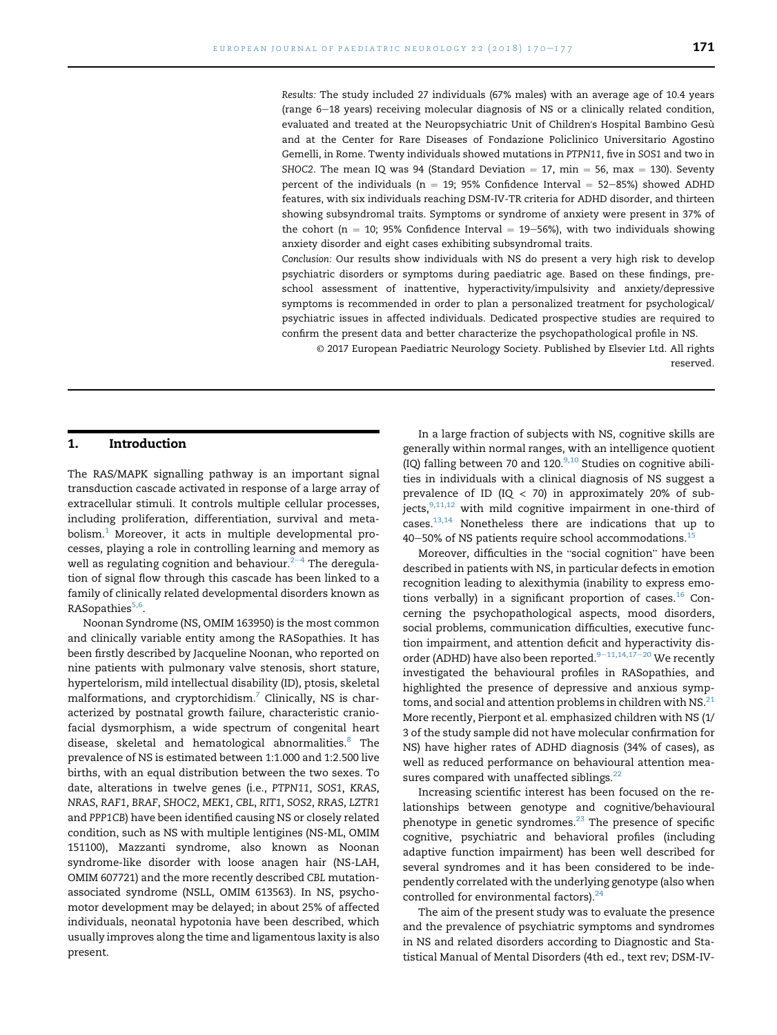Results: The study included 27 individuals (67% males) with an average age of 10.4 years (range 6-18 years) receiving molecular diagnosis of NS or a clinically related condition, evaluated and treated at the Neuropsychiatric Unit of Children's Hospital Bambino Gesù and at the Center for Rare Diseases of Fondazione Policlinico Universitario Agostino Gemelli, in Rome. Twenty individuals showed mutations in PTPN11, five in SOS1 and two in SHOC2. The mean IQ was 94 (Standard Deviation  $= 17$ , min  $= 56$ , max  $= 130$ ). Seventy percent of the individuals (n = 19; 95% Confidence Interval = 52-85%) showed ADHD features, with six individuals reaching DSM-IV-TR criteria for ADHD disorder, and thirteen showing subsyndromal traits. Symptoms or syndrome of anxiety were present in 37% of the cohort ( $n = 10$ ; 95% Confidence Interval  $= 19-56%$ ), with two individuals showing anxiety disorder and eight cases exhibiting subsyndromal traits.

Conclusion: Our results show individuals with NS do present a very high risk to develop psychiatric disorders or symptoms during paediatric age. Based on these findings, preschool assessment of inattentive, hyperactivity/impulsivity and anxiety/depressive symptoms is recommended in order to plan a personalized treatment for psychological/ psychiatric issues in affected individuals. Dedicated prospective studies are required to confirm the present data and better characterize the psychopathological profile in NS.

© 2017 European Paediatric Neurology Society. Published by Elsevier Ltd. All rights reserved.

#### 1. Introduction

The RAS/MAPK signalling pathway is an important signal transduction cascade activated in response of a large array of extracellular stimuli. It controls multiple cellular processes, including proliferation, differentiation, survival and meta $bolism.<sup>1</sup>$  Moreover, it acts in multiple developmental processes, playing a role in controlling learning and memory as well as regulating cognition and behaviour. $2-4$  $2-4$  $2-4$  The deregulation of signal flow through this cascade has been linked to a family of clinically related developmental disorders known as RASopathies<sup>5,6</sup>.

Noonan Syndrome (NS, OMIM 163950) is the most common and clinically variable entity among the RASopathies. It has been firstly described by Jacqueline Noonan, who reported on nine patients with pulmonary valve stenosis, short stature, hypertelorism, mild intellectual disability (ID), ptosis, skeletal malformations, and cryptorchidism.<sup>7</sup> Clinically, NS is characterized by postnatal growth failure, characteristic craniofacial dysmorphism, a wide spectrum of congenital heart disease, skeletal and hematological abnormalities.<sup>8</sup> The prevalence of NS is estimated between 1:1.000 and 1:2.500 live births, with an equal distribution between the two sexes. To date, alterations in twelve genes (i.e., PTPN11, SOS1, KRAS, NRAS, RAF1, BRAF, SHOC2, MEK1, CBL, RIT1, SOS2, RRAS, LZTR1 and PPP1CB) have been identified causing NS or closely related condition, such as NS with multiple lentigines (NS-ML, OMIM 151100), Mazzanti syndrome, also known as Noonan syndrome-like disorder with loose anagen hair (NS-LAH, OMIM 607721) and the more recently described CBL mutationassociated syndrome (NSLL, OMIM 613563). In NS, psychomotor development may be delayed; in about 25% of affected individuals, neonatal hypotonia have been described, which usually improves along the time and ligamentous laxity is also present.

In a large fraction of subjects with NS, cognitive skills are generally within normal ranges, with an intelligence quotient (IQ) falling between 70 and  $120.^{9,10}$  Studies on cognitive abilities in individuals with a clinical diagnosis of NS suggest a prevalence of ID (IQ  $<$  70) in approximately 20% of subjects, $9,11,12$  with mild cognitive impairment in one-third of cases[.13,14](#page-6-0) Nonetheless there are indications that up to  $40-50\%$  of NS patients require school accommodations.<sup>[15](#page-6-0)</sup>

Moreover, difficulties in the "social cognition" have been described in patients with NS, in particular defects in emotion recognition leading to alexithymia (inability to express emotions verbally) in a significant proportion of cases.<sup>16</sup> Concerning the psychopathological aspects, mood disorders, social problems, communication difficulties, executive function impairment, and attention deficit and hyperactivity disorder (ADHD) have also been reported. $9-11,14,17-20$  $9-11,14,17-20$  $9-11,14,17-20$  $9-11,14,17-20$  $9-11,14,17-20$  We recently investigated the behavioural profiles in RASopathies, and highlighted the presence of depressive and anxious symptoms, and social and attention problems in children with NS. $^{21}$ More recently, Pierpont et al. emphasized children with NS (1/ 3 of the study sample did not have molecular confirmation for NS) have higher rates of ADHD diagnosis (34% of cases), as well as reduced performance on behavioural attention mea-sures compared with unaffected siblings.<sup>[22](#page-6-0)</sup>

Increasing scientific interest has been focused on the relationships between genotype and cognitive/behavioural phenotype in genetic syndromes. $23$  The presence of specific cognitive, psychiatric and behavioral profiles (including adaptive function impairment) has been well described for several syndromes and it has been considered to be independently correlated with the underlying genotype (also when controlled for environmental factors). $24$ 

The aim of the present study was to evaluate the presence and the prevalence of psychiatric symptoms and syndromes in NS and related disorders according to Diagnostic and Statistical Manual of Mental Disorders (4th ed., text rev; DSM-IV-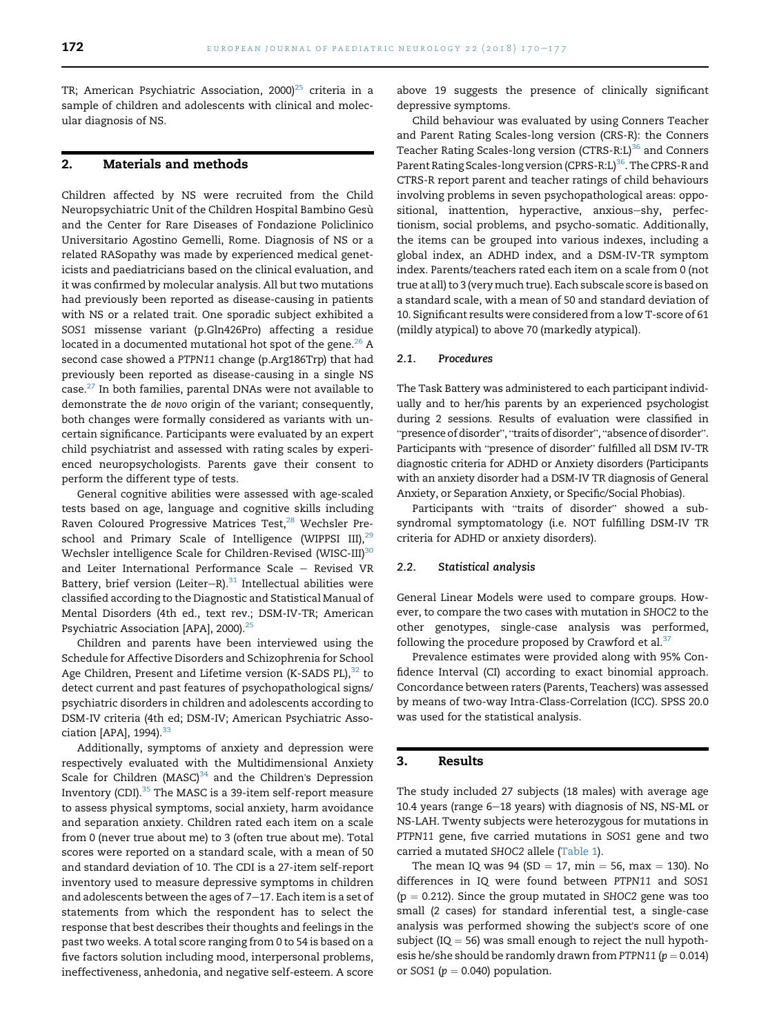TR; American Psychiatric Association, 2000)<sup>25</sup> criteria in a sample of children and adolescents with clinical and molecular diagnosis of NS.

#### 2. Materials and methods

Children affected by NS were recruited from the Child Neuropsychiatric Unit of the Children Hospital Bambino Gesù and the Center for Rare Diseases of Fondazione Policlinico Universitario Agostino Gemelli, Rome. Diagnosis of NS or a related RASopathy was made by experienced medical geneticists and paediatricians based on the clinical evaluation, and it was confirmed by molecular analysis. All but two mutations had previously been reported as disease-causing in patients with NS or a related trait. One sporadic subject exhibited a SOS1 missense variant (p.Gln426Pro) affecting a residue located in a documented mutational hot spot of the gene. $^{26}$  $^{26}$  $^{26}$  A second case showed a PTPN11 change (p.Arg186Trp) that had previously been reported as disease-causing in a single NS case.[27](#page-6-0) In both families, parental DNAs were not available to demonstrate the de novo origin of the variant; consequently, both changes were formally considered as variants with uncertain significance. Participants were evaluated by an expert child psychiatrist and assessed with rating scales by experienced neuropsychologists. Parents gave their consent to perform the different type of tests.

General cognitive abilities were assessed with age-scaled tests based on age, language and cognitive skills including Raven Coloured Progressive Matrices Test,<sup>28</sup> Wechsler Pre-school and Primary Scale of Intelligence (WIPPSI III),<sup>[29](#page-6-0)</sup> Wechsler intelligence Scale for Children-Revised (WISC-III)<sup>[30](#page-6-0)</sup> and Leiter International Performance Scale  $-$  Revised VR Battery, brief version (Leiter-R). $31$  Intellectual abilities were classified according to the Diagnostic and Statistical Manual of Mental Disorders (4th ed., text rev.; DSM-IV-TR; American Psychiatric Association [APA], 2000).<sup>25</sup>

Children and parents have been interviewed using the Schedule for Affective Disorders and Schizophrenia for School Age Children, Present and Lifetime version (K-SADS PL), $32$  to detect current and past features of psychopathological signs/ psychiatric disorders in children and adolescents according to DSM-IV criteria (4th ed; DSM-IV; American Psychiatric Association [APA],  $1994$ ). $33$ 

Additionally, symptoms of anxiety and depression were respectively evaluated with the Multidimensional Anxiety Scale for Children (MASC) $34$  and the Children's Depression Inventory (CDI).[35](#page-6-0) The MASC is a 39-item self-report measure to assess physical symptoms, social anxiety, harm avoidance and separation anxiety. Children rated each item on a scale from 0 (never true about me) to 3 (often true about me). Total scores were reported on a standard scale, with a mean of 50 and standard deviation of 10. The CDI is a 27-item self-report inventory used to measure depressive symptoms in children and adolescents between the ages of  $7-17$ . Each item is a set of statements from which the respondent has to select the response that best describes their thoughts and feelings in the past two weeks. A total score ranging from 0 to 54 is based on a five factors solution including mood, interpersonal problems, ineffectiveness, anhedonia, and negative self-esteem. A score

above 19 suggests the presence of clinically significant depressive symptoms.

Child behaviour was evaluated by using Conners Teacher and Parent Rating Scales-long version (CRS-R): the Conners Teacher Rating Scales-long version (CTRS-R:L)<sup>[36](#page-6-0)</sup> and Conners Parent Rating Scales-long version (CPRS-R:L)<sup>[36](#page-6-0)</sup>. The CPRS-R and CTRS-R report parent and teacher ratings of child behaviours involving problems in seven psychopathological areas: oppositional, inattention, hyperactive, anxious-shy, perfectionism, social problems, and psycho-somatic. Additionally, the items can be grouped into various indexes, including a global index, an ADHD index, and a DSM-IV-TR symptom index. Parents/teachers rated each item on a scale from 0 (not true at all) to 3 (verymuch true). Each subscale score is based on a standard scale, with a mean of 50 and standard deviation of 10. Significant results were considered from a low T-score of 61 (mildly atypical) to above 70 (markedly atypical).

#### 2.1. Procedures

The Task Battery was administered to each participant individually and to her/his parents by an experienced psychologist during 2 sessions. Results of evaluation were classified in "presence of disorder", "traits of disorder", "absence of disorder". "presence of disorder", "traits of disorder", "absence of disorder".<br>Participants with "presence of disorder" fulfilled all DSM IV-TR diagnostic criteria for ADHD or Anxiety disorders (Participants with an anxiety disorder had a DSM-IV TR diagnosis of General Anxiety, or Separation Anxiety, or Specific/Social Phobias).

Participants with "traits of disorder" showed a subsyndromal symptomatology (i.e. NOT fulfilling DSM-IV TR criteria for ADHD or anxiety disorders).

#### 2.2. Statistical analysis

General Linear Models were used to compare groups. However, to compare the two cases with mutation in SHOC2 to the other genotypes, single-case analysis was performed, following the procedure proposed by Crawford et al. $37$ 

Prevalence estimates were provided along with 95% Confidence Interval (CI) according to exact binomial approach. Concordance between raters (Parents, Teachers) was assessed by means of two-way Intra-Class-Correlation (ICC). SPSS 20.0 was used for the statistical analysis.

#### 3. Results

The study included 27 subjects (18 males) with average age 10.4 years (range  $6-18$  years) with diagnosis of NS, NS-ML or NS-LAH. Twenty subjects were heterozygous for mutations in PTPN11 gene, five carried mutations in SOS1 gene and two carried a mutated SHOC2 allele [\(Table 1](#page-3-0)).

The mean IQ was  $94$  (SD = 17, min = 56, max = 130). No differences in IQ were found between PTPN11 and SOS1  $(p = 0.212)$ . Since the group mutated in SHOC2 gene was too small (2 cases) for standard inferential test, a single-case analysis was performed showing the subject's score of one subject (IQ  $=$  56) was small enough to reject the null hypothesis he/she should be randomly drawn from PTPN11 ( $p = 0.014$ ) or SOS1 ( $p = 0.040$ ) population.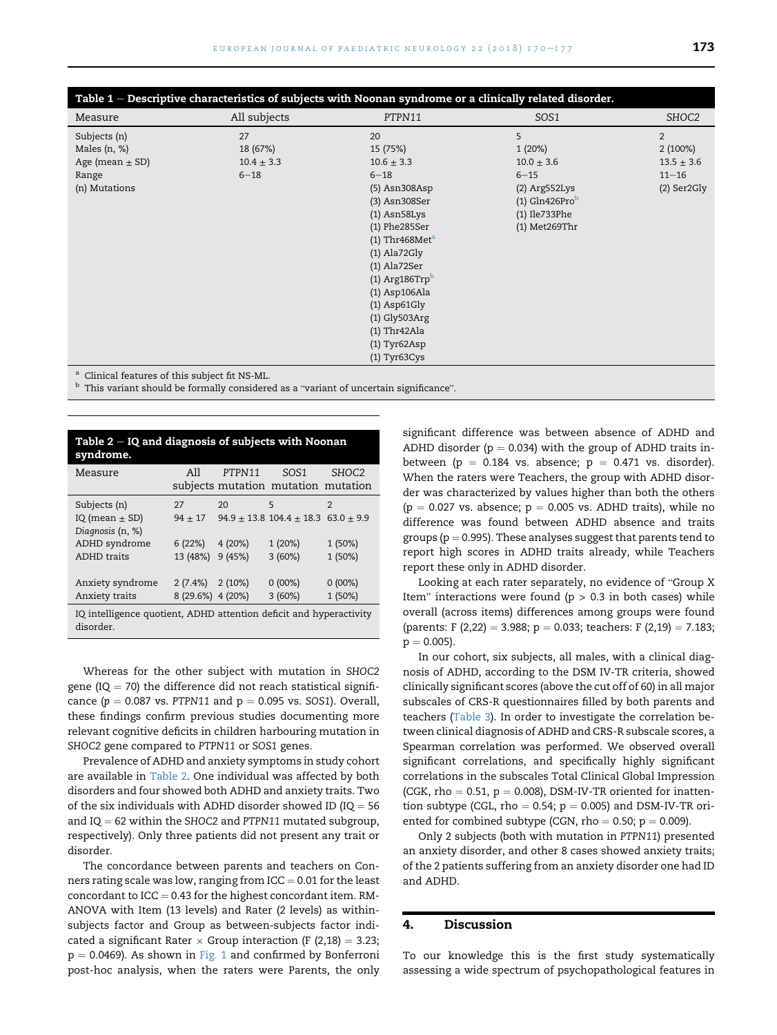<span id="page-3-0"></span>

| Table $1$ – Descriptive characteristics of subjects with Noonan syndrome or a clinically related disorder. |                |                            |                  |                |  |  |  |
|------------------------------------------------------------------------------------------------------------|----------------|----------------------------|------------------|----------------|--|--|--|
| Measure                                                                                                    | All subjects   | PTPN11                     | SOS <sub>1</sub> | SHOC2          |  |  |  |
| Subjects (n)                                                                                               | 27             | 20                         | 5                | $\overline{2}$ |  |  |  |
| Males $(n, %)$                                                                                             | 18 (67%)       | 15 (75%)                   | 1(20%)           | $2(100\%)$     |  |  |  |
| Age (mean $\pm$ SD)                                                                                        | $10.4 \pm 3.3$ | $10.6 \pm 3.3$             | $10.0 \pm 3.6$   | $13.5 \pm 3.6$ |  |  |  |
| Range                                                                                                      | $6 - 18$       | $6 - 18$                   | $6 - 15$         | $11 - 16$      |  |  |  |
| (n) Mutations                                                                                              |                | (5) Asn308Asp              | $(2)$ Arg552Lys  | $(2)$ Ser2Gly  |  |  |  |
|                                                                                                            |                | (3) Asn308Ser              | $(1)$ Gln426Prob |                |  |  |  |
|                                                                                                            |                | $(1)$ Asn $58$ Lys         | (1) Ile733Phe    |                |  |  |  |
|                                                                                                            |                | (1) Phe285Ser              | $(1)$ Met269Thr  |                |  |  |  |
|                                                                                                            |                | (1) Thr468Met <sup>a</sup> |                  |                |  |  |  |
|                                                                                                            |                | $(1)$ Ala72Gly             |                  |                |  |  |  |
|                                                                                                            |                | $(1)$ Ala72Ser             |                  |                |  |  |  |
|                                                                                                            |                | $(1)$ Arg186 $Trpb$        |                  |                |  |  |  |
|                                                                                                            |                | (1) Asp106Ala              |                  |                |  |  |  |
|                                                                                                            |                | $(1)$ Asp61Gly             |                  |                |  |  |  |
|                                                                                                            |                | $(1)$ Gly503Arg            |                  |                |  |  |  |
|                                                                                                            |                | $(1)$ Thr42Ala             |                  |                |  |  |  |
|                                                                                                            |                | $(1)$ Tyr $62Asp$          |                  |                |  |  |  |
|                                                                                                            |                | $(1)$ Tyr63Cys             |                  |                |  |  |  |
| <sup>a</sup> Clinical features of this subject fit NS-ML.                                                  |                |                            |                  |                |  |  |  |
| <sup>b</sup> This variant should be formally considered as a "variant of uncertain significance".          |                |                            |                  |                |  |  |  |

| Table $2 - IQ$ and diagnosis of subjects with Noonan<br>syndrome.               |                      |        |                                                         |                   |  |  |  |
|---------------------------------------------------------------------------------|----------------------|--------|---------------------------------------------------------|-------------------|--|--|--|
| Measure                                                                         | All                  | PTPN11 | SO <sub>S1</sub><br>subjects mutation mutation mutation | SHOC <sub>2</sub> |  |  |  |
| Subjects (n)                                                                    | 27                   | 20     | 5                                                       | 2                 |  |  |  |
| IQ (mean $\pm$ SD)<br>Diagnosis (n, %)                                          | $94 \pm 17$          |        | $94.9 \pm 13.8$ 104.4 $\pm$ 18.3 63.0 $\pm$ 9.9         |                   |  |  |  |
| ADHD syndrome                                                                   | 6 (22%)              | 4(20%) | 1(20%)                                                  | 1 (50%)           |  |  |  |
| <b>ADHD</b> traits                                                              | 13 (48%) 9 (45%)     |        | 3(60%)                                                  | 1 (50%)           |  |  |  |
| Anxiety syndrome                                                                | $2(7.4\%)$ $2(10\%)$ |        | $0(00\%)$                                               | $0(00\%)$         |  |  |  |
| Anxiety traits                                                                  | 8 (29.6%) 4 (20%)    |        | 3(60%)                                                  | 1 (50%)           |  |  |  |
| IQ intelligence quotient, ADHD attention deficit and hyperactivity<br>disorder. |                      |        |                                                         |                   |  |  |  |

Whereas for the other subject with mutation in SHOC2 gene (IQ  $=$  70) the difference did not reach statistical significance ( $p = 0.087$  vs. PTPN11 and  $p = 0.095$  vs. SOS1). Overall, these findings confirm previous studies documenting more relevant cognitive deficits in children harbouring mutation in SHOC2 gene compared to PTPN11 or SOS1 genes.

Prevalence of ADHD and anxiety symptoms in study cohort are available in Table 2. One individual was affected by both disorders and four showed both ADHD and anxiety traits. Two of the six individuals with ADHD disorder showed ID (IQ  $=$  56 and  $IQ = 62$  within the SHOC2 and PTPN11 mutated subgroup, respectively). Only three patients did not present any trait or disorder.

The concordance between parents and teachers on Conners rating scale was low, ranging from  $ICC = 0.01$  for the least concordant to  $ICC = 0.43$  for the highest concordant item. RM-ANOVA with Item (13 levels) and Rater (2 levels) as withinsubjects factor and Group as between-subjects factor indicated a significant Rater  $\times$  Group interaction (F (2,18)  $=$  3.23;  $p = 0.0469$ ). As shown in [Fig. 1](#page-4-0) and confirmed by Bonferroni post-hoc analysis, when the raters were Parents, the only

significant difference was between absence of ADHD and ADHD disorder ( $p = 0.034$ ) with the group of ADHD traits inbetween ( $p = 0.184$  vs. absence;  $p = 0.471$  vs. disorder). When the raters were Teachers, the group with ADHD disorder was characterized by values higher than both the others  $(p = 0.027 \text{ vs. absence}; p = 0.005 \text{ vs. ADHD traits}$ , while no difference was found between ADHD absence and traits groups ( $p = 0.995$ ). These analyses suggest that parents tend to report high scores in ADHD traits already, while Teachers report these only in ADHD disorder.

Looking at each rater separately, no evidence of "Group X Item" interactions were found ( $p > 0.3$  in both cases) while overall (across items) differences among groups were found (parents: F (2,22) = 3.988; p = 0.033; teachers: F (2,19) = 7.183;  $p = 0.005$ ).

In our cohort, six subjects, all males, with a clinical diagnosis of ADHD, according to the DSM IV-TR criteria, showed clinically significant scores (above the cut off of 60) in all major subscales of CRS-R questionnaires filled by both parents and teachers [\(Table 3](#page-4-0)). In order to investigate the correlation between clinical diagnosis of ADHD and CRS-R subscale scores, a Spearman correlation was performed. We observed overall significant correlations, and specifically highly significant correlations in the subscales Total Clinical Global Impression (CGK, rho  $= 0.51$ ,  $p = 0.008$ ), DSM-IV-TR oriented for inattention subtype (CGL, rho  $= 0.54$ ; p  $= 0.005$ ) and DSM-IV-TR oriented for combined subtype (CGN, rho =  $0.50$ ; p =  $0.009$ ).

Only 2 subjects (both with mutation in PTPN11) presented an anxiety disorder, and other 8 cases showed anxiety traits; of the 2 patients suffering from an anxiety disorder one had ID and ADHD.

#### 4. Discussion

To our knowledge this is the first study systematically assessing a wide spectrum of psychopathological features in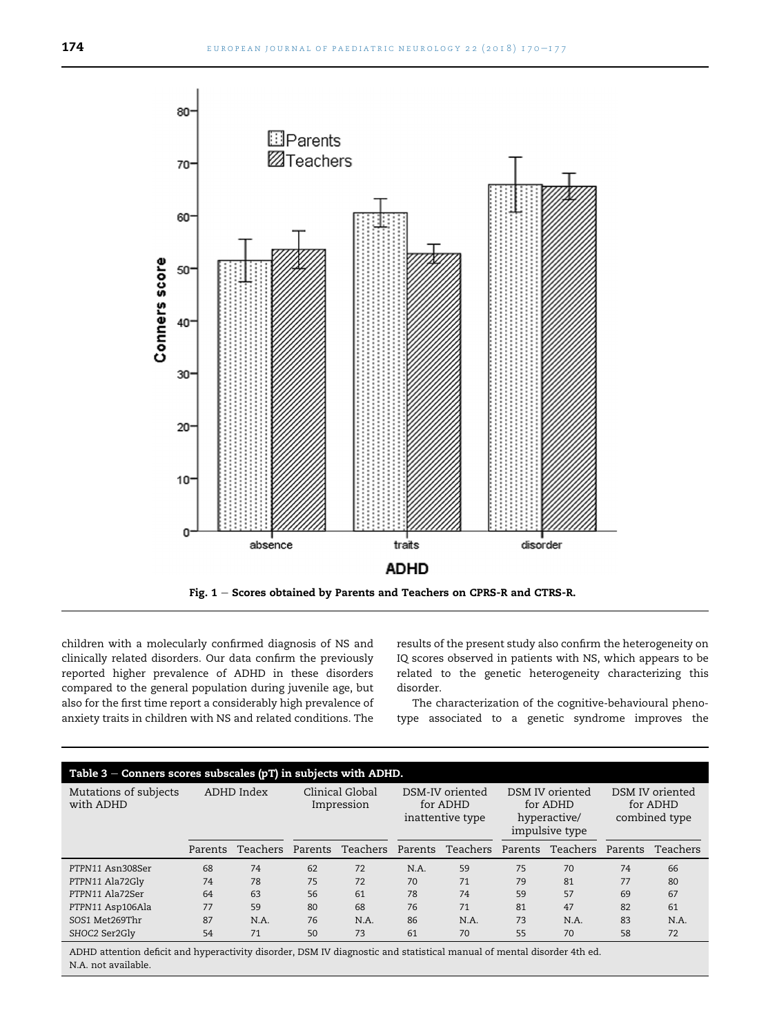<span id="page-4-0"></span>

children with a molecularly confirmed diagnosis of NS and clinically related disorders. Our data confirm the previously reported higher prevalence of ADHD in these disorders compared to the general population during juvenile age, but also for the first time report a considerably high prevalence of anxiety traits in children with NS and related conditions. The results of the present study also confirm the heterogeneity on IQ scores observed in patients with NS, which appears to be related to the genetic heterogeneity characterizing this disorder.

The characterization of the cognitive-behavioural phenotype associated to a genetic syndrome improves the

| Table $3$ – Conners scores subscales (pT) in subjects with ADHD. |            |          |                               |          |                                                 |          |                                                               |          |                                              |          |
|------------------------------------------------------------------|------------|----------|-------------------------------|----------|-------------------------------------------------|----------|---------------------------------------------------------------|----------|----------------------------------------------|----------|
| Mutations of subjects<br>with ADHD                               | ADHD Index |          | Clinical Global<br>Impression |          | DSM-IV oriented<br>for ADHD<br>inattentive type |          | DSM IV oriented<br>for ADHD<br>hyperactive/<br>impulsive type |          | DSM IV oriented<br>for ADHD<br>combined type |          |
|                                                                  | Parents    | Teachers | Parents                       | Teachers | Parents                                         | Teachers | Parents                                                       | Teachers | Parents                                      | Teachers |
| PTPN11 Asn308Ser                                                 | 68         | 74       | 62                            | 72       | N.A.                                            | 59       | 75                                                            | 70       | 74                                           | 66       |
| PTPN11 Ala72Gly                                                  | 74         | 78       | 75                            | 72       | 70                                              | 71       | 79                                                            | 81       | 77                                           | 80       |
| PTPN11 Ala72Ser                                                  | 64         | 63       | 56                            | 61       | 78                                              | 74       | 59                                                            | 57       | 69                                           | 67       |
| PTPN11 Asp106Ala                                                 | 77         | 59       | 80                            | 68       | 76                                              | 71       | 81                                                            | 47       | 82                                           | 61       |
| SOS1 Met269Thr                                                   | 87         | N.A.     | 76                            | N.A.     | 86                                              | N.A.     | 73                                                            | N.A.     | 83                                           | N.A.     |
| SHOC2 Ser2Gly                                                    | 54         | 71       | 50                            | 73       | 61                                              | 70       | 55                                                            | 70       | 58                                           | 72       |

ADHD attention deficit and hyperactivity disorder, DSM IV diagnostic and statistical manual of mental disorder 4th ed. N.A. not available.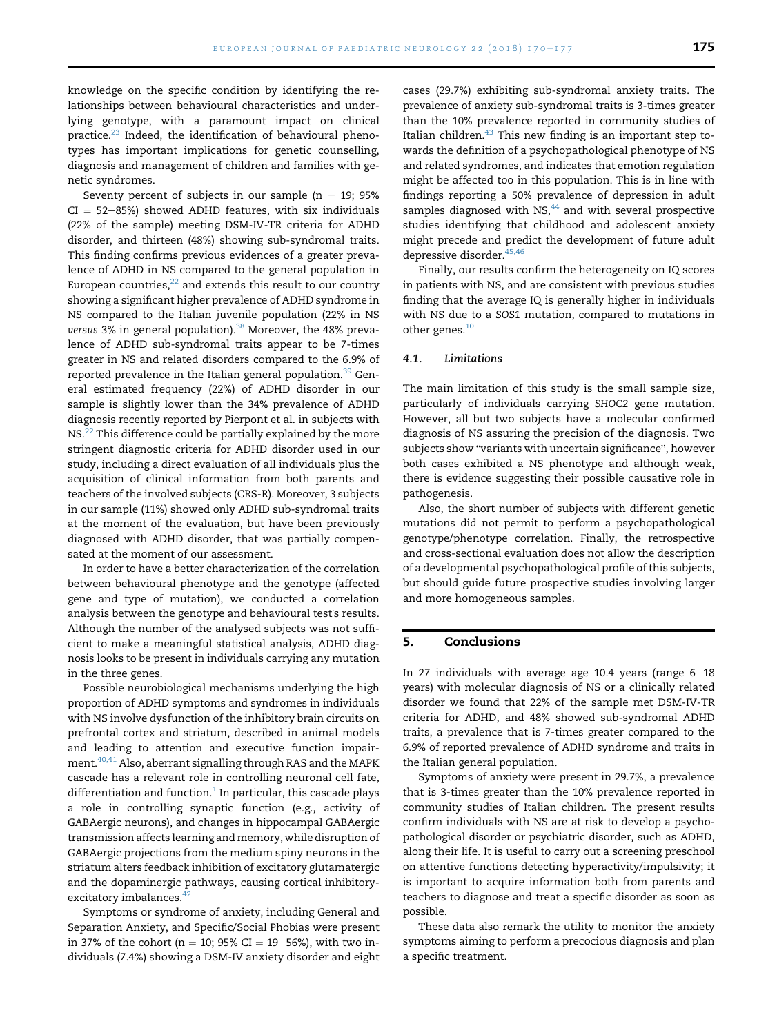knowledge on the specific condition by identifying the relationships between behavioural characteristics and underlying genotype, with a paramount impact on clinical practice.<sup>23</sup> Indeed, the identification of behavioural phenotypes has important implications for genetic counselling, diagnosis and management of children and families with genetic syndromes.

Seventy percent of subjects in our sample ( $n = 19$ ; 95%  $CI = 52-85%$ ) showed ADHD features, with six individuals (22% of the sample) meeting DSM-IV-TR criteria for ADHD disorder, and thirteen (48%) showing sub-syndromal traits. This finding confirms previous evidences of a greater prevalence of ADHD in NS compared to the general population in European countries, $^{22}$  $^{22}$  $^{22}$  and extends this result to our country showing a significant higher prevalence of ADHD syndrome in NS compared to the Italian juvenile population (22% in NS versus 3% in general population).<sup>[38](#page-6-0)</sup> Moreover, the 48% prevalence of ADHD sub-syndromal traits appear to be 7-times greater in NS and related disorders compared to the 6.9% of reported prevalence in the Italian general population.<sup>39</sup> General estimated frequency (22%) of ADHD disorder in our sample is slightly lower than the 34% prevalence of ADHD diagnosis recently reported by Pierpont et al. in subjects with NS.<sup>22</sup> This difference could be partially explained by the more stringent diagnostic criteria for ADHD disorder used in our study, including a direct evaluation of all individuals plus the acquisition of clinical information from both parents and teachers of the involved subjects (CRS-R). Moreover, 3 subjects in our sample (11%) showed only ADHD sub-syndromal traits at the moment of the evaluation, but have been previously diagnosed with ADHD disorder, that was partially compensated at the moment of our assessment.

In order to have a better characterization of the correlation between behavioural phenotype and the genotype (affected gene and type of mutation), we conducted a correlation analysis between the genotype and behavioural test's results. Although the number of the analysed subjects was not sufficient to make a meaningful statistical analysis, ADHD diagnosis looks to be present in individuals carrying any mutation in the three genes.

Possible neurobiological mechanisms underlying the high proportion of ADHD symptoms and syndromes in individuals with NS involve dysfunction of the inhibitory brain circuits on prefrontal cortex and striatum, described in animal models and leading to attention and executive function impairment.[40,41](#page-6-0) Also, aberrant signalling through RAS and the MAPK cascade has a relevant role in controlling neuronal cell fate, differentiation and function. $1$  In particular, this cascade plays a role in controlling synaptic function (e.g., activity of GABAergic neurons), and changes in hippocampal GABAergic transmission affects learning and memory, while disruption of GABAergic projections from the medium spiny neurons in the striatum alters feedback inhibition of excitatory glutamatergic and the dopaminergic pathways, causing cortical inhibitory-excitatory imbalances.<sup>[42](#page-7-0)</sup>

Symptoms or syndrome of anxiety, including General and Separation Anxiety, and Specific/Social Phobias were present in 37% of the cohort (n = 10; 95% CI = 19–56%), with two individuals (7.4%) showing a DSM-IV anxiety disorder and eight cases (29.7%) exhibiting sub-syndromal anxiety traits. The prevalence of anxiety sub-syndromal traits is 3-times greater than the 10% prevalence reported in community studies of Italian children. $43$  This new finding is an important step towards the definition of a psychopathological phenotype of NS and related syndromes, and indicates that emotion regulation might be affected too in this population. This is in line with findings reporting a 50% prevalence of depression in adult samples diagnosed with  $NS<sub>144</sub>$  and with several prospective studies identifying that childhood and adolescent anxiety might precede and predict the development of future adult depressive disorder.<sup>45,46</sup>

Finally, our results confirm the heterogeneity on IQ scores in patients with NS, and are consistent with previous studies finding that the average IQ is generally higher in individuals with NS due to a SOS1 mutation, compared to mutations in other genes.<sup>[10](#page-6-0)</sup>

#### 4.1. Limitations

The main limitation of this study is the small sample size, particularly of individuals carrying SHOC2 gene mutation. However, all but two subjects have a molecular confirmed diagnosis of NS assuring the precision of the diagnosis. Two subjects show "variants with uncertain significance", however both cases exhibited a NS phenotype and although weak, there is evidence suggesting their possible causative role in pathogenesis.

Also, the short number of subjects with different genetic mutations did not permit to perform a psychopathological genotype/phenotype correlation. Finally, the retrospective and cross-sectional evaluation does not allow the description of a developmental psychopathological profile of this subjects, but should guide future prospective studies involving larger and more homogeneous samples.

#### 5. Conclusions

In 27 individuals with average age 10.4 years (range  $6-18$ years) with molecular diagnosis of NS or a clinically related disorder we found that 22% of the sample met DSM-IV-TR criteria for ADHD, and 48% showed sub-syndromal ADHD traits, a prevalence that is 7-times greater compared to the 6.9% of reported prevalence of ADHD syndrome and traits in the Italian general population.

Symptoms of anxiety were present in 29.7%, a prevalence that is 3-times greater than the 10% prevalence reported in community studies of Italian children. The present results confirm individuals with NS are at risk to develop a psychopathological disorder or psychiatric disorder, such as ADHD, along their life. It is useful to carry out a screening preschool on attentive functions detecting hyperactivity/impulsivity; it is important to acquire information both from parents and teachers to diagnose and treat a specific disorder as soon as possible.

These data also remark the utility to monitor the anxiety symptoms aiming to perform a precocious diagnosis and plan a specific treatment.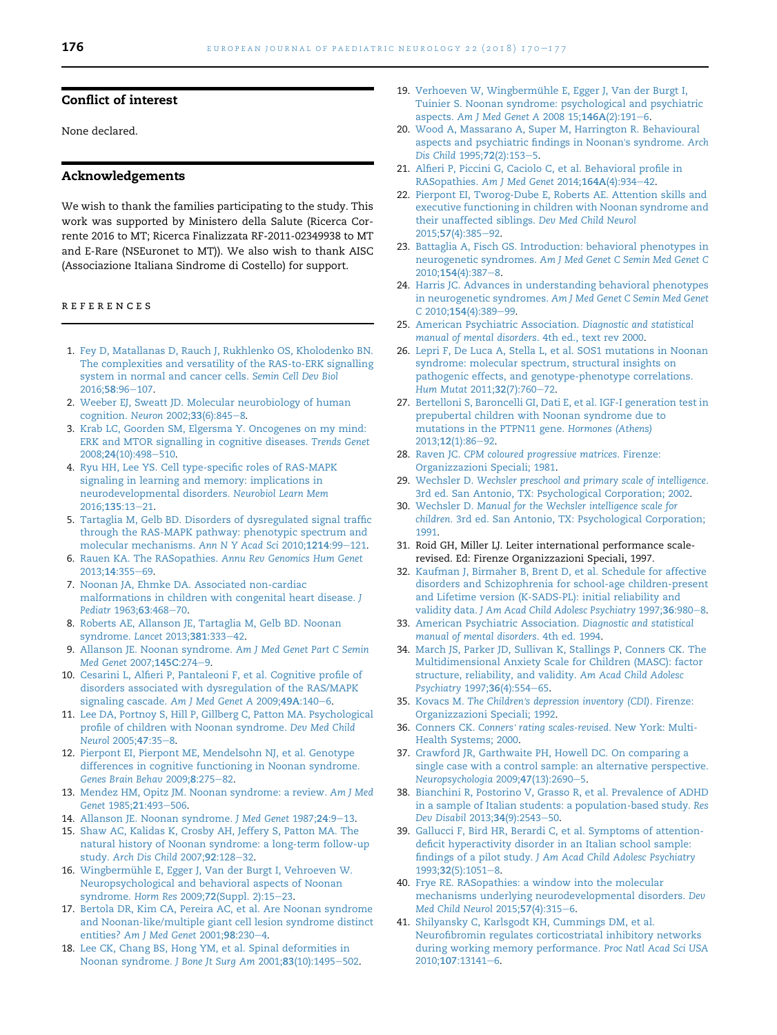#### <span id="page-6-0"></span>Conflict of interest

None declared.

### Acknowledgements

We wish to thank the families participating to the study. This work was supported by Ministero della Salute (Ricerca Corrente 2016 to MT; Ricerca Finalizzata RF-2011-02349938 to MT and E-Rare (NSEuronet to MT)). We also wish to thank AISC (Associazione Italiana Sindrome di Costello) for support.

#### references

- 1. [Fey D, Matallanas D, Rauch J, Rukhlenko OS, Kholodenko BN.](http://refhub.elsevier.com/S1090-3798(17)31918-9/sref1) [The complexities and versatility of the RAS-to-ERK signalling](http://refhub.elsevier.com/S1090-3798(17)31918-9/sref1) [system in normal and cancer cells.](http://refhub.elsevier.com/S1090-3798(17)31918-9/sref1) Semin Cell Dev Biol 2016:58:96-[107](http://refhub.elsevier.com/S1090-3798(17)31918-9/sref1).
- 2. [Weeber EJ, Sweatt JD. Molecular neurobiology of human](http://refhub.elsevier.com/S1090-3798(17)31918-9/sref2) [cognition.](http://refhub.elsevier.com/S1090-3798(17)31918-9/sref2) Neuron 2002;33(6):[8](http://refhub.elsevier.com/S1090-3798(17)31918-9/sref2)45-8.
- 3. [Krab LC, Goorden SM, Elgersma Y. Oncogenes on my mind:](http://refhub.elsevier.com/S1090-3798(17)31918-9/sref3) [ERK and MTOR signalling in cognitive diseases.](http://refhub.elsevier.com/S1090-3798(17)31918-9/sref3) Trends Genet 2008;24[\(10\):498](http://refhub.elsevier.com/S1090-3798(17)31918-9/sref3)-[510](http://refhub.elsevier.com/S1090-3798(17)31918-9/sref3).
- 4. [Ryu HH, Lee YS. Cell type-specific roles of RAS-MAPK](http://refhub.elsevier.com/S1090-3798(17)31918-9/sref4) [signaling in learning and memory: implications in](http://refhub.elsevier.com/S1090-3798(17)31918-9/sref4) [neurodevelopmental disorders.](http://refhub.elsevier.com/S1090-3798(17)31918-9/sref4) Neurobiol Learn Mem [2016;](http://refhub.elsevier.com/S1090-3798(17)31918-9/sref4)135:13-[21.](http://refhub.elsevier.com/S1090-3798(17)31918-9/sref4)
- 5. [Tartaglia M, Gelb BD. Disorders of dysregulated signal traffic](http://refhub.elsevier.com/S1090-3798(17)31918-9/sref5) [through the RAS-MAPK pathway: phenotypic spectrum and](http://refhub.elsevier.com/S1090-3798(17)31918-9/sref5) [molecular mechanisms.](http://refhub.elsevier.com/S1090-3798(17)31918-9/sref5) Ann N Y Acad Sci 2010;1214:99-[121.](http://refhub.elsevier.com/S1090-3798(17)31918-9/sref5)
- 6. Rauen KA. The RASopathies. [Annu Rev Genomics Hum Genet](http://refhub.elsevier.com/S1090-3798(17)31918-9/sref6) [2013;](http://refhub.elsevier.com/S1090-3798(17)31918-9/sref6)14:355-[69](http://refhub.elsevier.com/S1090-3798(17)31918-9/sref6).
- 7. [Noonan JA, Ehmke DA. Associated non-cardiac](http://refhub.elsevier.com/S1090-3798(17)31918-9/sref7) [malformations in children with congenital heart disease.](http://refhub.elsevier.com/S1090-3798(17)31918-9/sref7) J [Pediatr](http://refhub.elsevier.com/S1090-3798(17)31918-9/sref7) 1963;63:468-[70](http://refhub.elsevier.com/S1090-3798(17)31918-9/sref7).
- 8. [Roberts AE, Allanson JE, Tartaglia M, Gelb BD. Noonan](http://refhub.elsevier.com/S1090-3798(17)31918-9/sref8) [syndrome.](http://refhub.elsevier.com/S1090-3798(17)31918-9/sref8) Lancet 2013;381:333-[42](http://refhub.elsevier.com/S1090-3798(17)31918-9/sref8).
- 9. [Allanson JE. Noonan syndrome.](http://refhub.elsevier.com/S1090-3798(17)31918-9/sref9) Am J Med Genet Part C Semin [Med Genet](http://refhub.elsevier.com/S1090-3798(17)31918-9/sref9) 2007;145C:274-[9](http://refhub.elsevier.com/S1090-3798(17)31918-9/sref9).
- 10. [Cesarini L, Alfieri P, Pantaleoni F, et al. Cognitive profile of](http://refhub.elsevier.com/S1090-3798(17)31918-9/sref10) [disorders associated with dysregulation of the RAS/MAPK](http://refhub.elsevier.com/S1090-3798(17)31918-9/sref10) [signaling cascade.](http://refhub.elsevier.com/S1090-3798(17)31918-9/sref10) Am J Med Genet A 2009;49A:140-[6](http://refhub.elsevier.com/S1090-3798(17)31918-9/sref10).
- 11. [Lee DA, Portnoy S, Hill P, Gillberg C, Patton MA. Psychological](http://refhub.elsevier.com/S1090-3798(17)31918-9/sref11) [profile of children with Noonan syndrome.](http://refhub.elsevier.com/S1090-3798(17)31918-9/sref11) Dev Med Child [Neurol](http://refhub.elsevier.com/S1090-3798(17)31918-9/sref11) 2005;47:35-[8](http://refhub.elsevier.com/S1090-3798(17)31918-9/sref11).
- 12. [Pierpont EI, Pierpont ME, Mendelsohn NJ, et al. Genotype](http://refhub.elsevier.com/S1090-3798(17)31918-9/sref12) [differences in cognitive functioning in Noonan syndrome.](http://refhub.elsevier.com/S1090-3798(17)31918-9/sref12) [Genes Brain Behav](http://refhub.elsevier.com/S1090-3798(17)31918-9/sref12) 2009;8:275-[82.](http://refhub.elsevier.com/S1090-3798(17)31918-9/sref12)
- 13. [Mendez HM, Opitz JM. Noonan syndrome: a review.](http://refhub.elsevier.com/S1090-3798(17)31918-9/sref13) Am J Med [Genet](http://refhub.elsevier.com/S1090-3798(17)31918-9/sref13) 1985;21:493-[506](http://refhub.elsevier.com/S1090-3798(17)31918-9/sref13).
- 14. [Allanson JE. Noonan syndrome.](http://refhub.elsevier.com/S1090-3798(17)31918-9/sref14) J Med Genet 1987;24:9-[13.](http://refhub.elsevier.com/S1090-3798(17)31918-9/sref14)
- 15. [Shaw AC, Kalidas K, Crosby AH, Jeffery S, Patton MA. The](http://refhub.elsevier.com/S1090-3798(17)31918-9/sref15) [natural history of Noonan syndrome: a long-term follow-up](http://refhub.elsevier.com/S1090-3798(17)31918-9/sref15) study. [Arch Dis Child](http://refhub.elsevier.com/S1090-3798(17)31918-9/sref15) 2007;92:128-[32](http://refhub.elsevier.com/S1090-3798(17)31918-9/sref15).
- 16. Wingbermühle E, Egger J, Van der Burgt I, Vehroeven W. [Neuropsychological and behavioral aspects of Noonan](http://refhub.elsevier.com/S1090-3798(17)31918-9/sref16) syndrome. Horm Res 2009;72[\(Suppl. 2\):15](http://refhub.elsevier.com/S1090-3798(17)31918-9/sref16)-[23.](http://refhub.elsevier.com/S1090-3798(17)31918-9/sref16)
- 17. [Bertola DR, Kim CA, Pereira AC, et al. Are Noonan syndrome](http://refhub.elsevier.com/S1090-3798(17)31918-9/sref17) [and Noonan-like/multiple giant cell lesion syndrome distinct](http://refhub.elsevier.com/S1090-3798(17)31918-9/sref17) entities? [Am J Med Genet](http://refhub.elsevier.com/S1090-3798(17)31918-9/sref17) 2001;98:230-[4.](http://refhub.elsevier.com/S1090-3798(17)31918-9/sref17)
- 18. [Lee CK, Chang BS, Hong YM, et al. Spinal deformities in](http://refhub.elsevier.com/S1090-3798(17)31918-9/sref18) [Noonan syndrome.](http://refhub.elsevier.com/S1090-3798(17)31918-9/sref18) J Bone Jt Surg Am 2001;83(10):1495-[502](http://refhub.elsevier.com/S1090-3798(17)31918-9/sref18).
- 19. Verhoeven W, Wingbermühle E, Egger J, Van der Burgt I, [Tuinier S. Noonan syndrome: psychological and psychiatric](http://refhub.elsevier.com/S1090-3798(17)31918-9/sref19) aspects. [Am J Med Genet A](http://refhub.elsevier.com/S1090-3798(17)31918-9/sref19) 2008 15;146A(2):191-[6.](http://refhub.elsevier.com/S1090-3798(17)31918-9/sref19)
- 20. [Wood A, Massarano A, Super M, Harrington R. Behavioural](http://refhub.elsevier.com/S1090-3798(17)31918-9/sref20) [aspects and psychiatric findings in Noonan](http://refhub.elsevier.com/S1090-3798(17)31918-9/sref20)'s syndrome. Arch [Dis Child](http://refhub.elsevier.com/S1090-3798(17)31918-9/sref20) 199[5](http://refhub.elsevier.com/S1090-3798(17)31918-9/sref20);72(2):153-5.
- 21. [Alfieri P, Piccini G, Caciolo C, et al. Behavioral profile in](http://refhub.elsevier.com/S1090-3798(17)31918-9/sref21) RASopathies. [Am J Med Genet](http://refhub.elsevier.com/S1090-3798(17)31918-9/sref21) 2014;164A(4):934-[42](http://refhub.elsevier.com/S1090-3798(17)31918-9/sref21).
- 22. [Pierpont EI, Tworog-Dube E, Roberts AE. Attention skills and](http://refhub.elsevier.com/S1090-3798(17)31918-9/sref22) [executive functioning in children with Noonan syndrome and](http://refhub.elsevier.com/S1090-3798(17)31918-9/sref22) [their unaffected siblings.](http://refhub.elsevier.com/S1090-3798(17)31918-9/sref22) Dev Med Child Neurol 2015;57[\(4\):385](http://refhub.elsevier.com/S1090-3798(17)31918-9/sref22)-[92](http://refhub.elsevier.com/S1090-3798(17)31918-9/sref22).
- 23. [Battaglia A, Fisch GS. Introduction: behavioral phenotypes in](http://refhub.elsevier.com/S1090-3798(17)31918-9/sref23) neurogenetic syndromes. [Am J Med Genet C Semin Med Genet C](http://refhub.elsevier.com/S1090-3798(17)31918-9/sref23) 2010;154[\(4\):387](http://refhub.elsevier.com/S1090-3798(17)31918-9/sref23)-[8.](http://refhub.elsevier.com/S1090-3798(17)31918-9/sref23)
- 24. [Harris JC. Advances in understanding behavioral phenotypes](http://refhub.elsevier.com/S1090-3798(17)31918-9/sref24) in neurogenetic syndromes. [Am J Med Genet C Semin Med Genet](http://refhub.elsevier.com/S1090-3798(17)31918-9/sref24) C 2010;154[\(4\):389](http://refhub.elsevier.com/S1090-3798(17)31918-9/sref24)-[99](http://refhub.elsevier.com/S1090-3798(17)31918-9/sref24).
- 25. [American Psychiatric Association.](http://refhub.elsevier.com/S1090-3798(17)31918-9/sref25) Diagnostic and statistical [manual of mental disorders](http://refhub.elsevier.com/S1090-3798(17)31918-9/sref25). 4th ed., text rev 2000.
- 26. [Lepri F, De Luca A, Stella L, et al. SOS1 mutations in Noonan](http://refhub.elsevier.com/S1090-3798(17)31918-9/sref26) [syndrome: molecular spectrum, structural insights on](http://refhub.elsevier.com/S1090-3798(17)31918-9/sref26) [pathogenic effects, and genotype-phenotype correlations.](http://refhub.elsevier.com/S1090-3798(17)31918-9/sref26) [Hum Mutat](http://refhub.elsevier.com/S1090-3798(17)31918-9/sref26) 2011;32(7):760-[72](http://refhub.elsevier.com/S1090-3798(17)31918-9/sref26).
- 27. [Bertelloni S, Baroncelli GI, Dati E, et al. IGF-I generation test in](http://refhub.elsevier.com/S1090-3798(17)31918-9/sref27) [prepubertal children with Noonan syndrome due to](http://refhub.elsevier.com/S1090-3798(17)31918-9/sref27) [mutations in the PTPN11 gene.](http://refhub.elsevier.com/S1090-3798(17)31918-9/sref27) Hormones (Athens) 2013;12[\(1\):86](http://refhub.elsevier.com/S1090-3798(17)31918-9/sref27)-[92](http://refhub.elsevier.com/S1090-3798(17)31918-9/sref27).
- 28. Raven JC. [CPM coloured progressive matrices](http://refhub.elsevier.com/S1090-3798(17)31918-9/sref28). Firenze: [Organizzazioni Speciali; 1981.](http://refhub.elsevier.com/S1090-3798(17)31918-9/sref28)
- 29. Wechsler D. [Wechsler preschool and primary scale of intelligence](http://refhub.elsevier.com/S1090-3798(17)31918-9/sref29). [3rd ed. San Antonio, TX: Psychological Corporation; 2002.](http://refhub.elsevier.com/S1090-3798(17)31918-9/sref29)
- 30. Wechsler D. [Manual for the Wechsler intelligence scale for](http://refhub.elsevier.com/S1090-3798(17)31918-9/sref30) children[. 3rd ed. San Antonio, TX: Psychological Corporation;](http://refhub.elsevier.com/S1090-3798(17)31918-9/sref30) [1991](http://refhub.elsevier.com/S1090-3798(17)31918-9/sref30).
- 31. Roid GH, Miller LJ. Leiter international performance scalerevised. Ed: Firenze Organizzazioni Speciali, 1997.
- 32. [Kaufman J, Birmaher B, Brent D, et al. Schedule for affective](http://refhub.elsevier.com/S1090-3798(17)31918-9/sref32) [disorders and Schizophrenia for school-age children-present](http://refhub.elsevier.com/S1090-3798(17)31918-9/sref32) [and Lifetime version \(K-SADS-PL\): initial reliability and](http://refhub.elsevier.com/S1090-3798(17)31918-9/sref32) validity data. [J Am Acad Child Adolesc Psychiatry](http://refhub.elsevier.com/S1090-3798(17)31918-9/sref32) 1997;36:9[8](http://refhub.elsevier.com/S1090-3798(17)31918-9/sref32)0-8.
- 33. [American Psychiatric Association.](http://refhub.elsevier.com/S1090-3798(17)31918-9/sref33) Diagnostic and statistical [manual of mental disorders](http://refhub.elsevier.com/S1090-3798(17)31918-9/sref33). 4th ed. 1994.
- 34. [March JS, Parker JD, Sullivan K, Stallings P, Conners CK. The](http://refhub.elsevier.com/S1090-3798(17)31918-9/sref34) [Multidimensional Anxiety Scale for Children \(MASC\): factor](http://refhub.elsevier.com/S1090-3798(17)31918-9/sref34) [structure, reliability, and validity.](http://refhub.elsevier.com/S1090-3798(17)31918-9/sref34) Am Acad Child Adolesc [Psychiatry](http://refhub.elsevier.com/S1090-3798(17)31918-9/sref34) 1997;36(4):554-[65.](http://refhub.elsevier.com/S1090-3798(17)31918-9/sref34)
- 35. Kovacs M. The Children'[s depression inventory \(CDI\)](http://refhub.elsevier.com/S1090-3798(17)31918-9/sref35). Firenze: [Organizzazioni Speciali; 1992.](http://refhub.elsevier.com/S1090-3798(17)31918-9/sref35)
- 36. Conners CK. Conners' [rating scales-revised](http://refhub.elsevier.com/S1090-3798(17)31918-9/sref36). New York: Multi-[Health Systems; 2000](http://refhub.elsevier.com/S1090-3798(17)31918-9/sref36).
- 37. [Crawford JR, Garthwaite PH, Howell DC. On comparing a](http://refhub.elsevier.com/S1090-3798(17)31918-9/sref37) [single case with a control sample: an alternative perspective.](http://refhub.elsevier.com/S1090-3798(17)31918-9/sref37) [Neuropsychologia](http://refhub.elsevier.com/S1090-3798(17)31918-9/sref37) 2009;47(13):2690-[5](http://refhub.elsevier.com/S1090-3798(17)31918-9/sref37).
- 38. [Bianchini R, Postorino V, Grasso R, et al. Prevalence of ADHD](http://refhub.elsevier.com/S1090-3798(17)31918-9/sref38) [in a sample of Italian students: a population-based study.](http://refhub.elsevier.com/S1090-3798(17)31918-9/sref38) Res [Dev Disabil](http://refhub.elsevier.com/S1090-3798(17)31918-9/sref38) 2013;34(9):2543-[50.](http://refhub.elsevier.com/S1090-3798(17)31918-9/sref38)
- 39. [Gallucci F, Bird HR, Berardi C, et al. Symptoms of attention](http://refhub.elsevier.com/S1090-3798(17)31918-9/sref39)[deficit hyperactivity disorder in an Italian school sample:](http://refhub.elsevier.com/S1090-3798(17)31918-9/sref39) findings of a pilot study. [J Am Acad Child Adolesc Psychiatry](http://refhub.elsevier.com/S1090-3798(17)31918-9/sref39) 1993;32[\(5\):1051](http://refhub.elsevier.com/S1090-3798(17)31918-9/sref39)-[8](http://refhub.elsevier.com/S1090-3798(17)31918-9/sref39).
- 40. [Frye RE. RASopathies: a window into the molecular](http://refhub.elsevier.com/S1090-3798(17)31918-9/sref40) [mechanisms underlying neurodevelopmental disorders.](http://refhub.elsevier.com/S1090-3798(17)31918-9/sref40) Dev [Med Child Neurol](http://refhub.elsevier.com/S1090-3798(17)31918-9/sref40) 2015;57(4):315-[6.](http://refhub.elsevier.com/S1090-3798(17)31918-9/sref40)
- 41. [Shilyansky C, Karlsgodt KH, Cummings DM, et al.](http://refhub.elsevier.com/S1090-3798(17)31918-9/sref41) [Neurofibromin regulates corticostriatal inhibitory networks](http://refhub.elsevier.com/S1090-3798(17)31918-9/sref41) [during working memory performance.](http://refhub.elsevier.com/S1090-3798(17)31918-9/sref41) Proc Natl Acad Sci USA 2010;107[:13141](http://refhub.elsevier.com/S1090-3798(17)31918-9/sref41)-[6](http://refhub.elsevier.com/S1090-3798(17)31918-9/sref41).